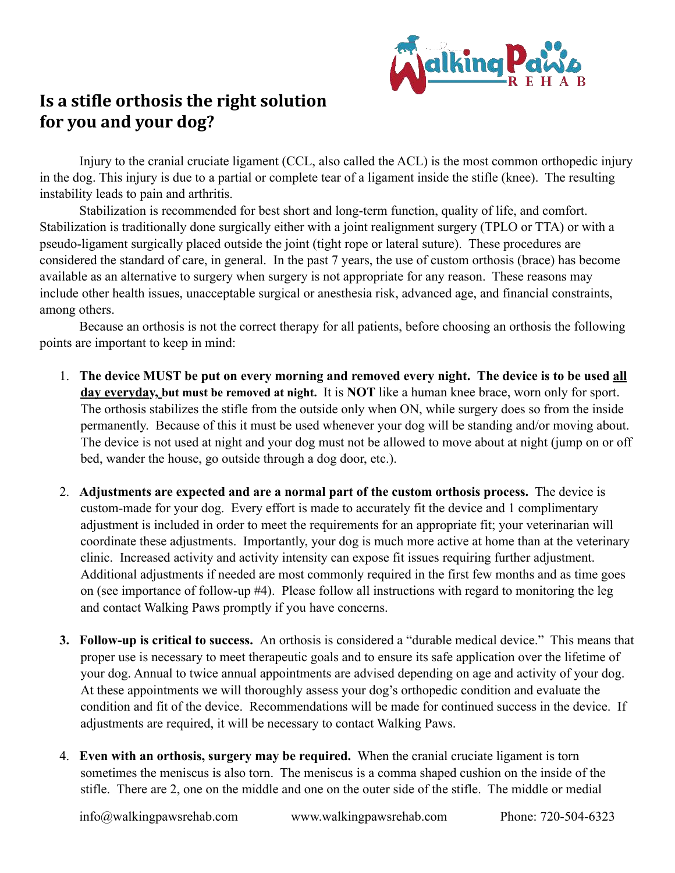

## **Is a stifle orthosis the right solution** for you and your dog?

Injury to the cranial cruciate ligament (CCL, also called the ACL) is the most common orthopedic injury in the dog. This injury is due to a partial or complete tear of a ligament inside the stifle (knee). The resulting instability leads to pain and arthritis.

 Stabilization is recommended for best short and long-term function, quality of life, and comfort. Stabilization is traditionally done surgically either with a joint realignment surgery (TPLO or TTA) or with a pseudo-ligament surgically placed outside the joint (tight rope or lateral suture). These procedures are considered the standard of care, in general. In the past 7 years, the use of custom orthosis (brace) has become available as an alternative to surgery when surgery is not appropriate for any reason. These reasons may include other health issues, unacceptable surgical or anesthesia risk, advanced age, and financial constraints, among others.

 Because an orthosis is not the correct therapy for all patients, before choosing an orthosis the following points are important to keep in mind:

- 1. **The device MUST be put on every morning and removed every night. The device is to be used all day everyday, but must be removed at night.** It is **NOT** like a human knee brace, worn only for sport. The orthosis stabilizes the stifle from the outside only when ON, while surgery does so from the inside permanently. Because of this it must be used whenever your dog will be standing and/or moving about. The device is not used at night and your dog must not be allowed to move about at night (jump on or off bed, wander the house, go outside through a dog door, etc.).
- 2. **Adjustments are expected and are a normal part of the custom orthosis process.** The device is custom-made for your dog. Every effort is made to accurately fit the device and 1 complimentary adjustment is included in order to meet the requirements for an appropriate fit; your veterinarian will coordinate these adjustments. Importantly, your dog is much more active at home than at the veterinary clinic. Increased activity and activity intensity can expose fit issues requiring further adjustment. Additional adjustments if needed are most commonly required in the first few months and as time goes on (see importance of follow-up #4). Please follow all instructions with regard to monitoring the leg and contact Walking Paws promptly if you have concerns.
- **3. Follow-up is critical to success.** An orthosis is considered a "durable medical device." This means that proper use is necessary to meet therapeutic goals and to ensure its safe application over the lifetime of your dog. Annual to twice annual appointments are advised depending on age and activity of your dog. At these appointments we will thoroughly assess your dog's orthopedic condition and evaluate the condition and fit of the device. Recommendations will be made for continued success in the device. If adjustments are required, it will be necessary to contact Walking Paws.
- 4. **Even with an orthosis, surgery may be required.** When the cranial cruciate ligament is torn sometimes the meniscus is also torn. The meniscus is a comma shaped cushion on the inside of the stifle. There are 2, one on the middle and one on the outer side of the stifle. The middle or medial

info@walkingpawsrehab.com www.walkingpawsrehab.com Phone: 720-504-6323